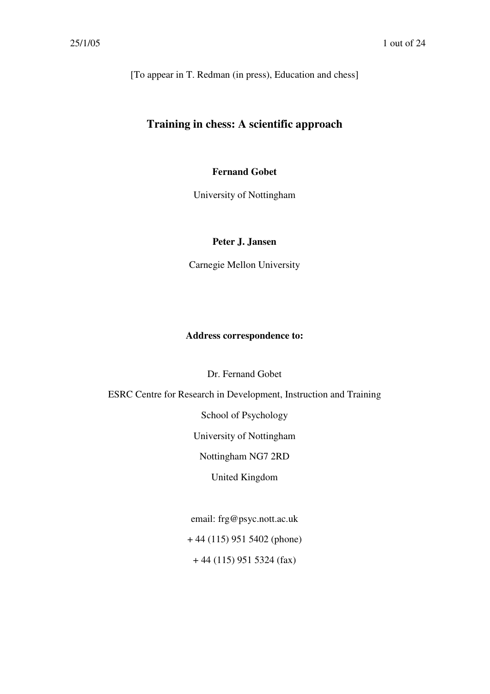[To appear in T. Redman (in press), Education and chess]

# **Training in chess: A scientific approach**

# **Fernand Gobet**

University of Nottingham

# **Peter J. Jansen**

Carnegie Mellon University

### **Address correspondence to:**

Dr. Fernand Gobet

ESRC Centre for Research in Development, Instruction and Training

School of Psychology

University of Nottingham

Nottingham NG7 2RD

United Kingdom

email: frg@psyc.nott.ac.uk

+ 44 (115) 951 5402 (phone)

+ 44 (115) 951 5324 (fax)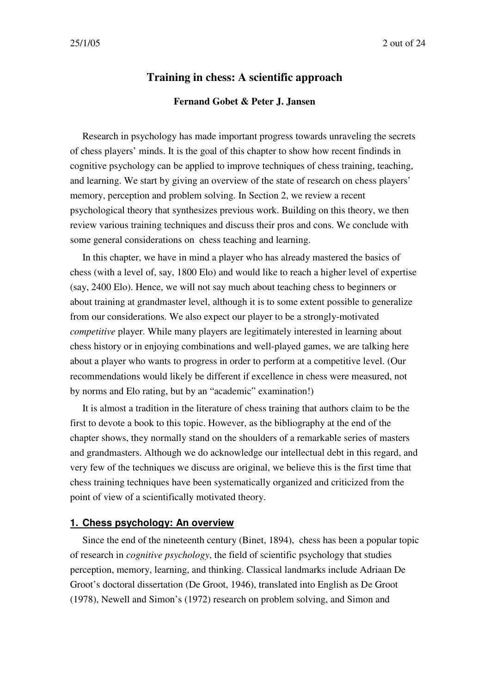# **Training in chess: A scientific approach Fernand Gobet & Peter J. Jansen**

Research in psychology has made important progress towards unraveling the secrets of chess players' minds. It is the goal of this chapter to show how recent findinds in cognitive psychology can be applied to improve techniques of chess training, teaching, and learning. We start by giving an overview of the state of research on chess players' memory, perception and problem solving. In Section 2, we review a recent psychological theory that synthesizes previous work. Building on this theory, we then review various training techniques and discuss their pros and cons. We conclude with some general considerations on chess teaching and learning.

In this chapter, we have in mind a player who has already mastered the basics of chess (with a level of, say, 1800 Elo) and would like to reach a higher level of expertise (say, 2400 Elo). Hence, we will not say much about teaching chess to beginners or about training at grandmaster level, although it is to some extent possible to generalize from our considerations. We also expect our player to be a strongly-motivated *competitive* player. While many players are legitimately interested in learning about chess history or in enjoying combinations and well-played games, we are talking here about a player who wants to progress in order to perform at a competitive level. (Our recommendations would likely be different if excellence in chess were measured, not by norms and Elo rating, but by an "academic" examination!)

It is almost a tradition in the literature of chess training that authors claim to be the first to devote a book to this topic. However, as the bibliography at the end of the chapter shows, they normally stand on the shoulders of a remarkable series of masters and grandmasters. Although we do acknowledge our intellectual debt in this regard, and very few of the techniques we discuss are original, we believe this is the first time that chess training techniques have been systematically organized and criticized from the point of view of a scientifically motivated theory.

#### **1. Chess psychology: An overview**

Since the end of the nineteenth century (Binet, 1894), chess has been a popular topic of research in *cognitive psychology*, the field of scientific psychology that studies perception, memory, learning, and thinking. Classical landmarks include Adriaan De Groot's doctoral dissertation (De Groot, 1946), translated into English as De Groot (1978), Newell and Simon's (1972) research on problem solving, and Simon and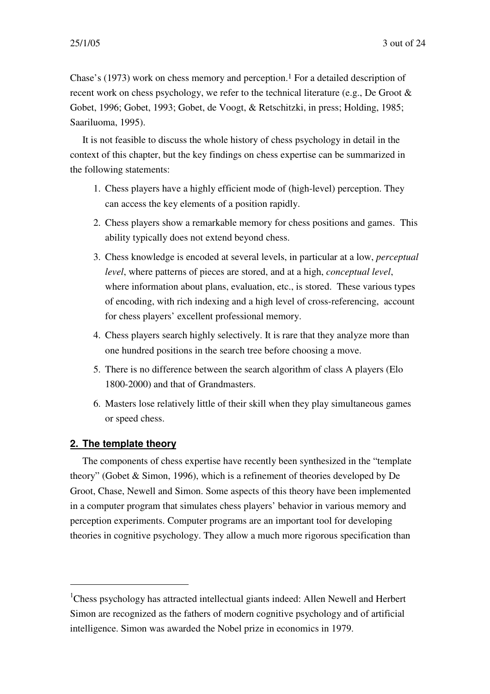Chase's (1973) work on chess memory and perception. 1 For a detailed description of recent work on chess psychology, we refer to the technical literature (e.g., De Groot & Gobet, 1996; Gobet, 1993; Gobet, de Voogt, & Retschitzki, in press; Holding, 1985; Saariluoma, 1995).

It is not feasible to discuss the whole history of chess psychology in detail in the context of this chapter, but the key findings on chess expertise can be summarized in the following statements:

- 1. Chess players have a highly efficient mode of (high-level) perception. They can access the key elements of a position rapidly.
- 2. Chess players show a remarkable memory for chess positions and games. This ability typically does not extend beyond chess.
- 3. Chess knowledge is encoded at several levels, in particular at a low, *perceptual level*, where patterns of pieces are stored, and at a high, *conceptual level*, where information about plans, evaluation, etc., is stored. These various types of encoding, with rich indexing and a high level of cross-referencing, account for chess players' excellent professional memory.
- 4. Chess players search highly selectively. It is rare that they analyze more than one hundred positions in the search tree before choosing a move.
- 5. There is no difference between the search algorithm of class A players (Elo 1800-2000) and that of Grandmasters.
- 6. Masters lose relatively little of their skill when they play simultaneous games or speed chess.

# **2. The template theory**

The components of chess expertise have recently been synthesized in the "template theory" (Gobet & Simon, 1996), which is a refinement of theories developed by De Groot, Chase, Newell and Simon. Some aspects of this theory have been implemented in a computer program that simulates chess players' behavior in various memory and perception experiments. Computer programs are an important tool for developing theories in cognitive psychology. They allow a much more rigorous specification than

<sup>&</sup>lt;sup>1</sup>Chess psychology has attracted intellectual giants indeed: Allen Newell and Herbert Simon are recognized as the fathers of modern cognitive psychology and of artificial intelligence. Simon was awarded the Nobel prize in economics in 1979.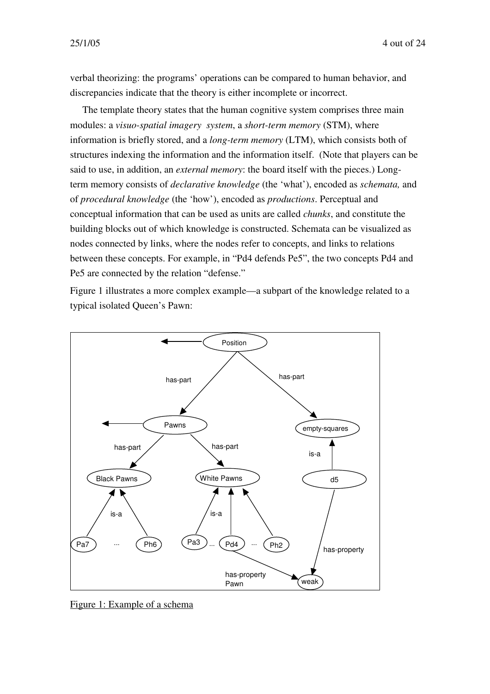verbal theorizing: the programs' operations can be compared to human behavior, and discrepancies indicate that the theory is either incomplete or incorrect.

The template theory states that the human cognitive system comprises three main modules: a *visuo-spatial imagery system*, a *short-term memory* (STM), where information is briefly stored, and a *long-term memory* (LTM), which consists both of structures indexing the information and the information itself. (Note that players can be said to use, in addition, an *external memory*: the board itself with the pieces.) Longterm memory consists of *declarative knowledge* (the 'what'), encoded as *schemata,* and of *procedural knowledge* (the 'how'), encoded as *productions*. Perceptual and conceptual information that can be used as units are called *chunks*, and constitute the building blocks out of which knowledge is constructed. Schemata can be visualized as nodes connected by links, where the nodes refer to concepts, and links to relations between these concepts. For example, in "Pd4 defends Pe5", the two concepts Pd4 and Pe5 are connected by the relation "defense."

Figure 1 illustrates a more complex example—a subpart of the knowledge related to a typical isolated Queen's Pawn:



Figure 1: Example of a schema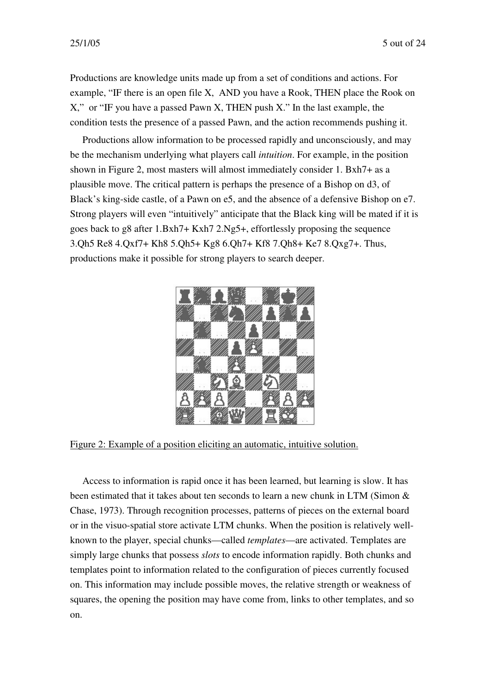Productions are knowledge units made up from a set of conditions and actions. For example, "IF there is an open file X, AND you have a Rook, THEN place the Rook on X," or "IF you have a passed Pawn X, THEN push X." In the last example, the condition tests the presence of a passed Pawn, and the action recommends pushing it.

Productions allow information to be processed rapidly and unconsciously, and may be the mechanism underlying what players call *intuition*. For example, in the position shown in Figure 2, most masters will almost immediately consider 1. Bxh7+ as a plausible move. The critical pattern is perhaps the presence of a Bishop on d3, of Black's king-side castle, of a Pawn on e5, and the absence of a defensive Bishop on e7. Strong players will even "intuitively" anticipate that the Black king will be mated if it is goes back to g8 after 1.Bxh7+ Kxh7 2.Ng5+, effortlessly proposing the sequence 3.Qh5 Re8 4.Qxf7+ Kh8 5.Qh5+ Kg8 6.Qh7+ Kf8 7.Qh8+ Ke7 8.Qxg7+. Thus, productions make it possible for strong players to search deeper.



Figure 2: Example of a position eliciting an automatic, intuitive solution.

Access to information is rapid once it has been learned, but learning is slow. It has been estimated that it takes about ten seconds to learn a new chunk in LTM (Simon & Chase, 1973). Through recognition processes, patterns of pieces on the external board or in the visuo-spatial store activate LTM chunks. When the position is relatively wellknown to the player, special chunks—called *templates*—are activated. Templates are simply large chunks that possess *slots* to encode information rapidly. Both chunks and templates point to information related to the configuration of pieces currently focused on. This information may include possible moves, the relative strength or weakness of squares, the opening the position may have come from, links to other templates, and so on.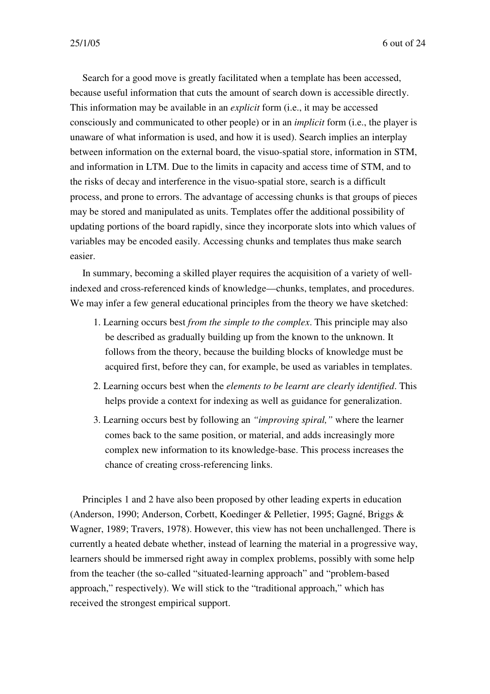Search for a good move is greatly facilitated when a template has been accessed, because useful information that cuts the amount of search down is accessible directly. This information may be available in an *explicit* form (i.e., it may be accessed consciously and communicated to other people) or in an *implicit* form (i.e., the player is unaware of what information is used, and how it is used). Search implies an interplay between information on the external board, the visuo-spatial store, information in STM, and information in LTM. Due to the limits in capacity and access time of STM, and to the risks of decay and interference in the visuo-spatial store, search is a difficult process, and prone to errors. The advantage of accessing chunks is that groups of pieces may be stored and manipulated as units. Templates offer the additional possibility of updating portions of the board rapidly, since they incorporate slots into which values of variables may be encoded easily. Accessing chunks and templates thus make search easier.

In summary, becoming a skilled player requires the acquisition of a variety of wellindexed and cross-referenced kinds of knowledge—chunks, templates, and procedures. We may infer a few general educational principles from the theory we have sketched:

- 1. Learning occurs best *from the simple to the complex*. This principle may also be described as gradually building up from the known to the unknown. It follows from the theory, because the building blocks of knowledge must be acquired first, before they can, for example, be used as variables in templates.
- 2. Learning occurs best when the *elements to be learnt are clearly identified*. This helps provide a context for indexing as well as guidance for generalization.
- 3. Learning occurs best by following an *"improving spiral,"* where the learner comes back to the same position, or material, and adds increasingly more complex new information to its knowledge-base. This process increases the chance of creating cross-referencing links.

Principles 1 and 2 have also been proposed by other leading experts in education (Anderson, 1990; Anderson, Corbett, Koedinger & Pelletier, 1995; Gagné, Briggs & Wagner, 1989; Travers, 1978). However, this view has not been unchallenged. There is currently a heated debate whether, instead of learning the material in a progressive way, learners should be immersed right away in complex problems, possibly with some help from the teacher (the so-called "situated-learning approach" and "problem-based approach," respectively). We will stick to the "traditional approach," which has received the strongest empirical support.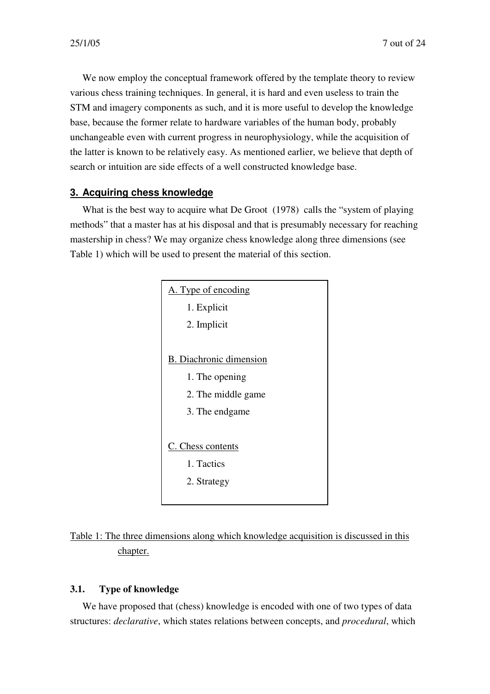We now employ the conceptual framework offered by the template theory to review various chess training techniques. In general, it is hard and even useless to train the STM and imagery components as such, and it is more useful to develop the knowledge base, because the former relate to hardware variables of the human body, probably unchangeable even with current progress in neurophysiology, while the acquisition of the latter is known to be relatively easy. As mentioned earlier, we believe that depth of search or intuition are side effects of a well constructed knowledge base.

# **3. Acquiring chess knowledge**

What is the best way to acquire what De Groot (1978) calls the "system of playing methods" that a master has at his disposal and that is presumably necessary for reaching mastership in chess? We may organize chess knowledge along three dimensions (see Table 1) which will be used to present the material of this section.



Table 1: The three dimensions along which knowledge acquisition is discussed in this chapter.

# **3.1. Type of knowledge**

We have proposed that (chess) knowledge is encoded with one of two types of data structures: *declarative*, which states relations between concepts, and *procedural*, which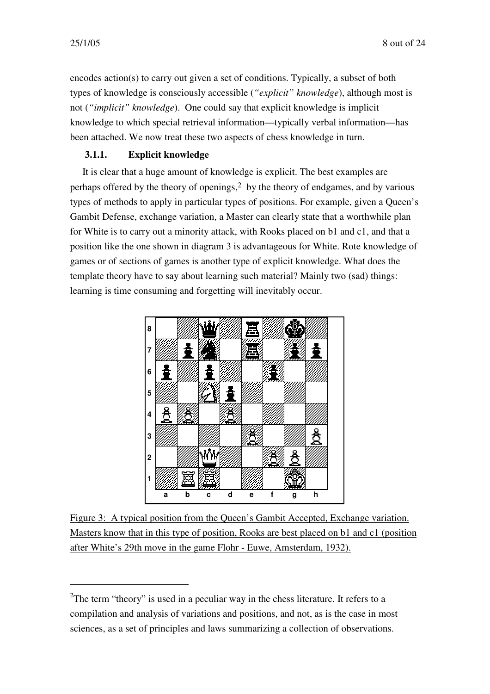encodes action(s) to carry out given a set of conditions. Typically, a subset of both types of knowledge is consciously accessible (*"explicit" knowledge*), although most is not (*"implicit" knowledge*). One could say that explicit knowledge is implicit knowledge to which special retrieval information—typically verbal information—has been attached. We now treat these two aspects of chess knowledge in turn.

# **3.1.1. Explicit knowledge**

It is clear that a huge amount of knowledge is explicit. The best examples are perhaps offered by the theory of openings, 2 by the theory of endgames, and by various types of methods to apply in particular types of positions. For example, given a Queen's Gambit Defense, exchange variation, a Master can clearly state that a worthwhile plan for White is to carry out a minority attack, with Rooks placed on b1 and c1, and that a position like the one shown in diagram 3 is advantageous for White. Rote knowledge of games or of sections of games is another type of explicit knowledge. What does the template theory have to say about learning such material? Mainly two (sad) things: learning is time consuming and forgetting will inevitably occur.



Figure 3: A typical position from the Queen's Gambit Accepted, Exchange variation. Masters know that in this type of position, Rooks are best placed on b1 and c1 (position after White's 29th move in the game Flohr - Euwe, Amsterdam, 1932).

<sup>&</sup>lt;sup>2</sup>The term "theory" is used in a peculiar way in the chess literature. It refers to a compilation and analysis of variations and positions, and not, as is the case in most sciences, as a set of principles and laws summarizing a collection of observations.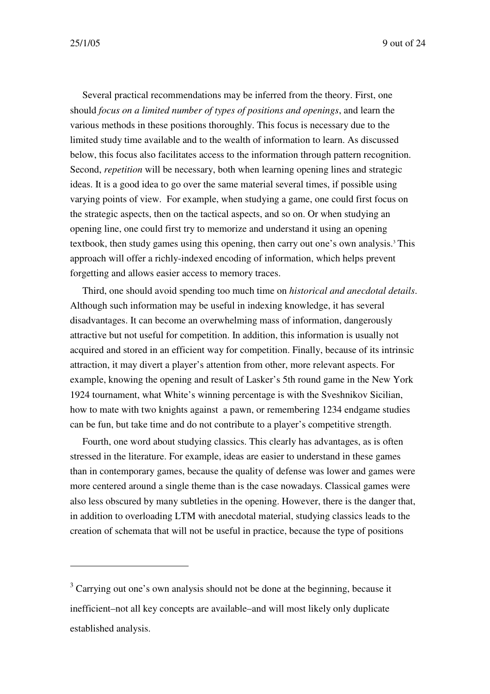Several practical recommendations may be inferred from the theory. First, one should *focus on a limited number of types of positions and openings*, and learn the various methods in these positions thoroughly. This focus is necessary due to the limited study time available and to the wealth of information to learn. As discussed below, this focus also facilitates access to the information through pattern recognition. Second, *repetition* will be necessary, both when learning opening lines and strategic ideas. It is a good idea to go over the same material several times, if possible using varying points of view. For example, when studying a game, one could first focus on the strategic aspects, then on the tactical aspects, and so on. Or when studying an opening line, one could first try to memorize and understand it using an opening textbook, then study games using this opening, then carry out one's own analysis. <sup>3</sup> This approach will offer a richly-indexed encoding of information, which helps prevent forgetting and allows easier access to memory traces.

Third, one should avoid spending too much time on *historical and anecdotal details*. Although such information may be useful in indexing knowledge, it has several disadvantages. It can become an overwhelming mass of information, dangerously attractive but not useful for competition. In addition, this information is usually not acquired and stored in an efficient way for competition. Finally, because of its intrinsic attraction, it may divert a player's attention from other, more relevant aspects. For example, knowing the opening and result of Lasker's 5th round game in the New York 1924 tournament, what White's winning percentage is with the Sveshnikov Sicilian, how to mate with two knights against a pawn, or remembering 1234 endgame studies can be fun, but take time and do not contribute to a player's competitive strength.

Fourth, one word about studying classics. This clearly has advantages, as is often stressed in the literature. For example, ideas are easier to understand in these games than in contemporary games, because the quality of defense was lower and games were more centered around a single theme than is the case nowadays. Classical games were also less obscured by many subtleties in the opening. However, there is the danger that, in addition to overloading LTM with anecdotal material, studying classics leads to the creation of schemata that will not be useful in practice, because the type of positions

 $3$  Carrying out one's own analysis should not be done at the beginning, because it inefficient–not all key concepts are available–and will most likely only duplicate established analysis.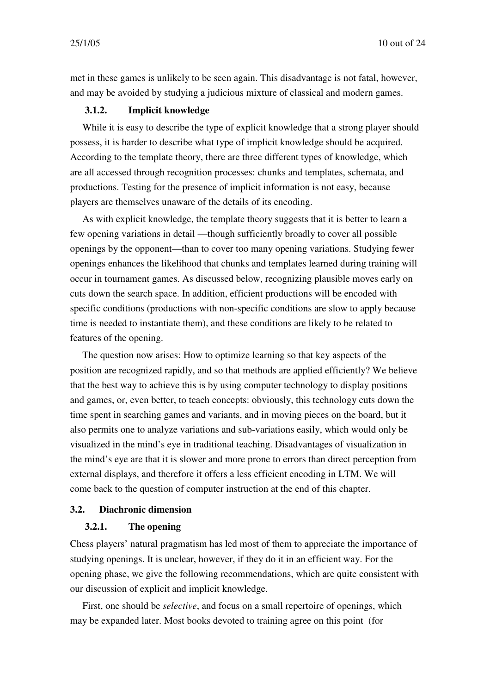met in these games is unlikely to be seen again. This disadvantage is not fatal, however, and may be avoided by studying a judicious mixture of classical and modern games.

### **3.1.2. Implicit knowledge**

While it is easy to describe the type of explicit knowledge that a strong player should possess, it is harder to describe what type of implicit knowledge should be acquired. According to the template theory, there are three different types of knowledge, which are all accessed through recognition processes: chunks and templates, schemata, and productions. Testing for the presence of implicit information is not easy, because players are themselves unaware of the details of its encoding.

As with explicit knowledge, the template theory suggests that it is better to learn a few opening variations in detail —though sufficiently broadly to cover all possible openings by the opponent—than to cover too many opening variations. Studying fewer openings enhances the likelihood that chunks and templates learned during training will occur in tournament games. As discussed below, recognizing plausible moves early on cuts down the search space. In addition, efficient productions will be encoded with specific conditions (productions with non-specific conditions are slow to apply because time is needed to instantiate them), and these conditions are likely to be related to features of the opening.

The question now arises: How to optimize learning so that key aspects of the position are recognized rapidly, and so that methods are applied efficiently? We believe that the best way to achieve this is by using computer technology to display positions and games, or, even better, to teach concepts: obviously, this technology cuts down the time spent in searching games and variants, and in moving pieces on the board, but it also permits one to analyze variations and sub-variations easily, which would only be visualized in the mind's eye in traditional teaching. Disadvantages of visualization in the mind's eye are that it is slower and more prone to errors than direct perception from external displays, and therefore it offers a less efficient encoding in LTM. We will come back to the question of computer instruction at the end of this chapter.

#### **3.2. Diachronic dimension**

# **3.2.1. The opening**

Chess players' natural pragmatism has led most of them to appreciate the importance of studying openings. It is unclear, however, if they do it in an efficient way. For the opening phase, we give the following recommendations, which are quite consistent with our discussion of explicit and implicit knowledge.

First, one should be *selective*, and focus on a small repertoire of openings, which may be expanded later. Most books devoted to training agree on this point (for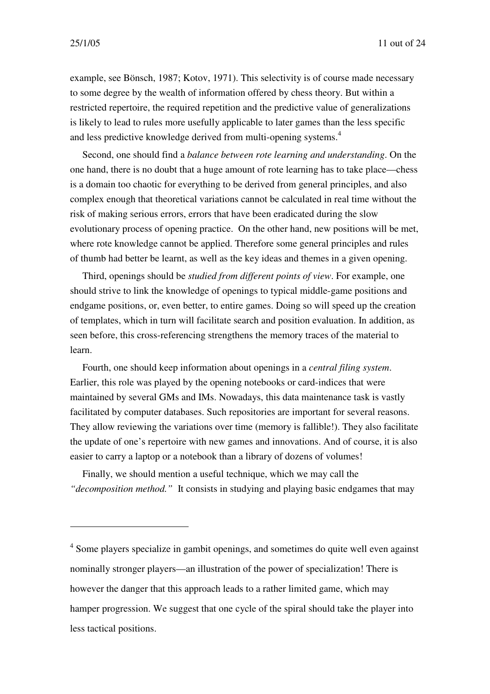example, see Bönsch, 1987; Kotov, 1971). This selectivity is of course made necessary to some degree by the wealth of information offered by chess theory. But within a restricted repertoire, the required repetition and the predictive value of generalizations is likely to lead to rules more usefully applicable to later games than the less specific and less predictive knowledge derived from multi-opening systems. 4

Second, one should find a *balance between rote learning and understanding*. On the one hand, there is no doubt that a huge amount of rote learning has to take place—chess is a domain too chaotic for everything to be derived from general principles, and also complex enough that theoretical variations cannot be calculated in real time without the risk of making serious errors, errors that have been eradicated during the slow evolutionary process of opening practice. On the other hand, new positions will be met, where rote knowledge cannot be applied. Therefore some general principles and rules of thumb had better be learnt, as well as the key ideas and themes in a given opening.

Third, openings should be *studied from different points of view*. For example, one should strive to link the knowledge of openings to typical middle-game positions and endgame positions, or, even better, to entire games. Doing so will speed up the creation of templates, which in turn will facilitate search and position evaluation. In addition, as seen before, this cross-referencing strengthens the memory traces of the material to learn.

Fourth, one should keep information about openings in a *central filing system*. Earlier, this role was played by the opening notebooks or card-indices that were maintained by several GMs and IMs. Nowadays, this data maintenance task is vastly facilitated by computer databases. Such repositories are important for several reasons. They allow reviewing the variations over time (memory is fallible!). They also facilitate the update of one's repertoire with new games and innovations. And of course, it is also easier to carry a laptop or a notebook than a library of dozens of volumes!

Finally, we should mention a useful technique, which we may call the *"decomposition method."* It consists in studying and playing basic endgames that may

<sup>&</sup>lt;sup>4</sup> Some players specialize in gambit openings, and sometimes do quite well even against nominally stronger players—an illustration of the power of specialization! There is however the danger that this approach leads to a rather limited game, which may hamper progression. We suggest that one cycle of the spiral should take the player into less tactical positions.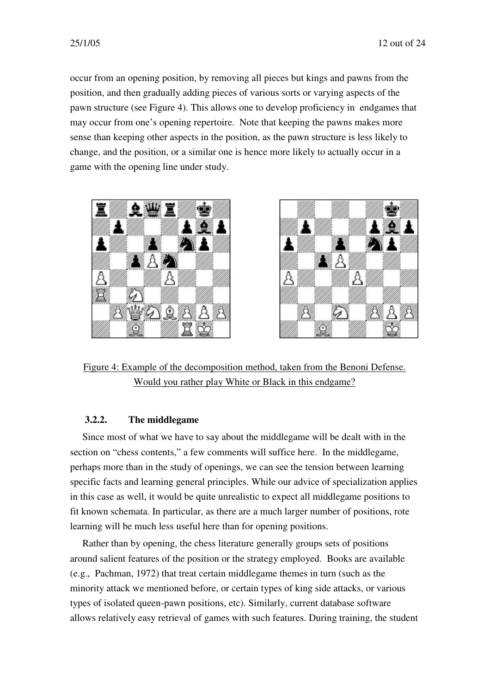occur from an opening position, by removing all pieces but kings and pawns from the position, and then gradually adding pieces of various sorts or varying aspects of the pawn structure (see Figure 4). This allows one to develop proficiency in endgames that may occur from one's opening repertoire. Note that keeping the pawns makes more sense than keeping other aspects in the position, as the pawn structure is less likely to change, and the position, or a similar one is hence more likely to actually occur in a game with the opening line under study.





Figure 4: Example of the decomposition method, taken from the Benoni Defense. Would you rather play White or Black in this endgame?

# **3.2.2. The middlegame**

Since most of what we have to say about the middlegame will be dealt with in the section on "chess contents," a few comments will suffice here. In the middlegame, perhaps more than in the study of openings, we can see the tension between learning specific facts and learning general principles. While our advice of specialization applies in this case as well, it would be quite unrealistic to expect all middlegame positions to fit known schemata. In particular, as there are a much larger number of positions, rote learning will be much less useful here than for opening positions.

Rather than by opening, the chess literature generally groups sets of positions around salient features of the position or the strategy employed. Books are available (e.g., Pachman, 1972) that treat certain middlegame themes in turn (such as the minority attack we mentioned before, or certain types of king side attacks, or various types of isolated queen-pawn positions, etc). Similarly, current database software allows relatively easy retrieval of games with such features. During training, the student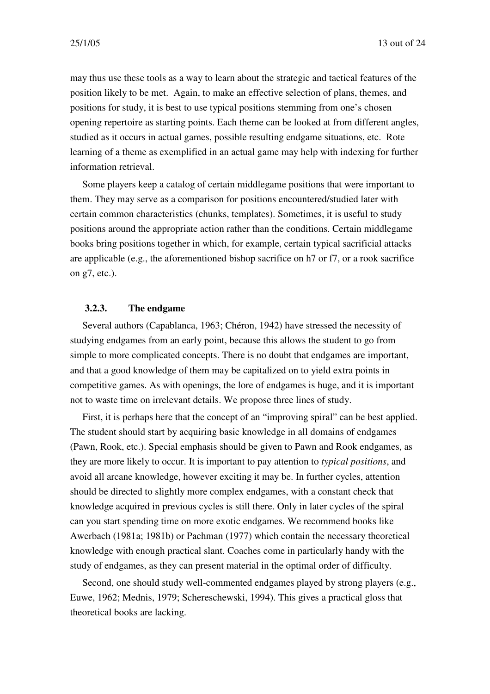may thus use these tools as a way to learn about the strategic and tactical features of the position likely to be met. Again, to make an effective selection of plans, themes, and positions for study, it is best to use typical positions stemming from one's chosen opening repertoire as starting points. Each theme can be looked at from different angles, studied as it occurs in actual games, possible resulting endgame situations, etc. Rote learning of a theme as exemplified in an actual game may help with indexing for further information retrieval.

Some players keep a catalog of certain middlegame positions that were important to them. They may serve as a comparison for positions encountered/studied later with certain common characteristics (chunks, templates). Sometimes, it is useful to study positions around the appropriate action rather than the conditions. Certain middlegame books bring positions together in which, for example, certain typical sacrificial attacks are applicable (e.g., the aforementioned bishop sacrifice on h7 or f7, or a rook sacrifice on g7, etc.).

#### **3.2.3. The endgame**

Several authors (Capablanca, 1963; Chéron, 1942) have stressed the necessity of studying endgames from an early point, because this allows the student to go from simple to more complicated concepts. There is no doubt that endgames are important, and that a good knowledge of them may be capitalized on to yield extra points in competitive games. As with openings, the lore of endgames is huge, and it is important not to waste time on irrelevant details. We propose three lines of study.

First, it is perhaps here that the concept of an "improving spiral" can be best applied. The student should start by acquiring basic knowledge in all domains of endgames (Pawn, Rook, etc.). Special emphasis should be given to Pawn and Rook endgames, as they are more likely to occur. It is important to pay attention to *typical positions*, and avoid all arcane knowledge, however exciting it may be. In further cycles, attention should be directed to slightly more complex endgames, with a constant check that knowledge acquired in previous cycles is still there. Only in later cycles of the spiral can you start spending time on more exotic endgames. We recommend books like Awerbach (1981a; 1981b) or Pachman (1977) which contain the necessary theoretical knowledge with enough practical slant. Coaches come in particularly handy with the study of endgames, as they can present material in the optimal order of difficulty.

Second, one should study well-commented endgames played by strong players (e.g., Euwe, 1962; Mednis, 1979; Schereschewski, 1994). This gives a practical gloss that theoretical books are lacking.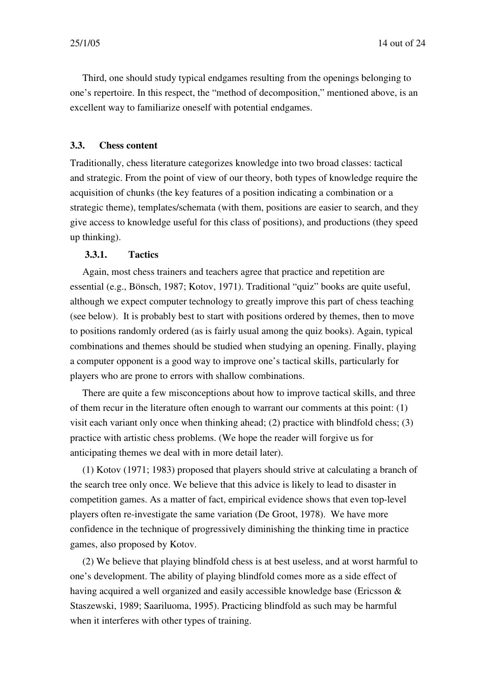Third, one should study typical endgames resulting from the openings belonging to one's repertoire. In this respect, the "method of decomposition," mentioned above, is an excellent way to familiarize oneself with potential endgames.

#### **3.3. Chess content**

Traditionally, chess literature categorizes knowledge into two broad classes: tactical and strategic. From the point of view of our theory, both types of knowledge require the acquisition of chunks (the key features of a position indicating a combination or a strategic theme), templates/schemata (with them, positions are easier to search, and they give access to knowledge useful for this class of positions), and productions (they speed up thinking).

#### **3.3.1. Tactics**

Again, most chess trainers and teachers agree that practice and repetition are essential (e.g., Bönsch, 1987; Kotov, 1971). Traditional "quiz" books are quite useful, although we expect computer technology to greatly improve this part of chess teaching (see below). It is probably best to start with positions ordered by themes, then to move to positions randomly ordered (as is fairly usual among the quiz books). Again, typical combinations and themes should be studied when studying an opening. Finally, playing a computer opponent is a good way to improve one's tactical skills, particularly for players who are prone to errors with shallow combinations.

There are quite a few misconceptions about how to improve tactical skills, and three of them recur in the literature often enough to warrant our comments at this point: (1) visit each variant only once when thinking ahead; (2) practice with blindfold chess; (3) practice with artistic chess problems. (We hope the reader will forgive us for anticipating themes we deal with in more detail later).

(1) Kotov (1971; 1983) proposed that players should strive at calculating a branch of the search tree only once. We believe that this advice is likely to lead to disaster in competition games. As a matter of fact, empirical evidence shows that even top-level players often re-investigate the same variation (De Groot, 1978). We have more confidence in the technique of progressively diminishing the thinking time in practice games, also proposed by Kotov.

(2) We believe that playing blindfold chess is at best useless, and at worst harmful to one's development. The ability of playing blindfold comes more as a side effect of having acquired a well organized and easily accessible knowledge base (Ericsson & Staszewski, 1989; Saariluoma, 1995). Practicing blindfold as such may be harmful when it interferes with other types of training.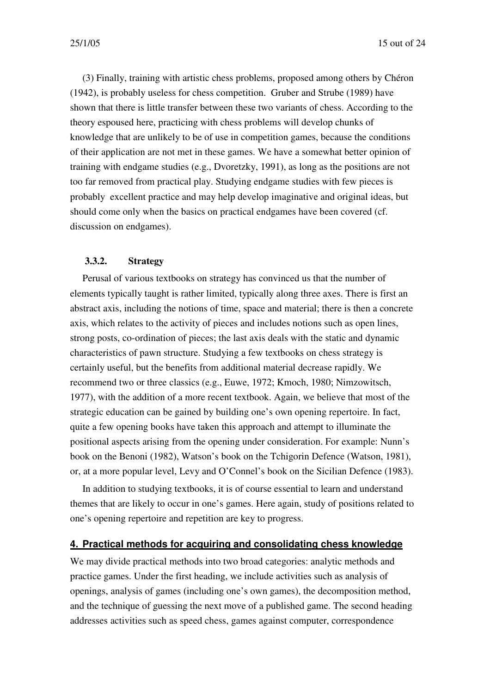(3) Finally, training with artistic chess problems, proposed among others by Chéron (1942), is probably useless for chess competition. Gruber and Strube (1989) have shown that there is little transfer between these two variants of chess. According to the theory espoused here, practicing with chess problems will develop chunks of knowledge that are unlikely to be of use in competition games, because the conditions of their application are not met in these games. We have a somewhat better opinion of training with endgame studies (e.g., Dvoretzky, 1991), as long as the positions are not too far removed from practical play. Studying endgame studies with few pieces is probably excellent practice and may help develop imaginative and original ideas, but should come only when the basics on practical endgames have been covered (cf. discussion on endgames).

#### **3.3.2. Strategy**

Perusal of various textbooks on strategy has convinced us that the number of elements typically taught is rather limited, typically along three axes. There is first an abstract axis, including the notions of time, space and material; there is then a concrete axis, which relates to the activity of pieces and includes notions such as open lines, strong posts, co-ordination of pieces; the last axis deals with the static and dynamic characteristics of pawn structure. Studying a few textbooks on chess strategy is certainly useful, but the benefits from additional material decrease rapidly. We recommend two or three classics (e.g., Euwe, 1972; Kmoch, 1980; Nimzowitsch, 1977), with the addition of a more recent textbook. Again, we believe that most of the strategic education can be gained by building one's own opening repertoire. In fact, quite a few opening books have taken this approach and attempt to illuminate the positional aspects arising from the opening under consideration. For example: Nunn's book on the Benoni (1982), Watson's book on the Tchigorin Defence (Watson, 1981), or, at a more popular level, Levy and O'Connel's book on the Sicilian Defence (1983).

In addition to studying textbooks, it is of course essential to learn and understand themes that are likely to occur in one's games. Here again, study of positions related to one's opening repertoire and repetition are key to progress.

#### **4. Practical methods for acquiring and consolidating chess knowledge**

We may divide practical methods into two broad categories: analytic methods and practice games. Under the first heading, we include activities such as analysis of openings, analysis of games (including one's own games), the decomposition method, and the technique of guessing the next move of a published game. The second heading addresses activities such as speed chess, games against computer, correspondence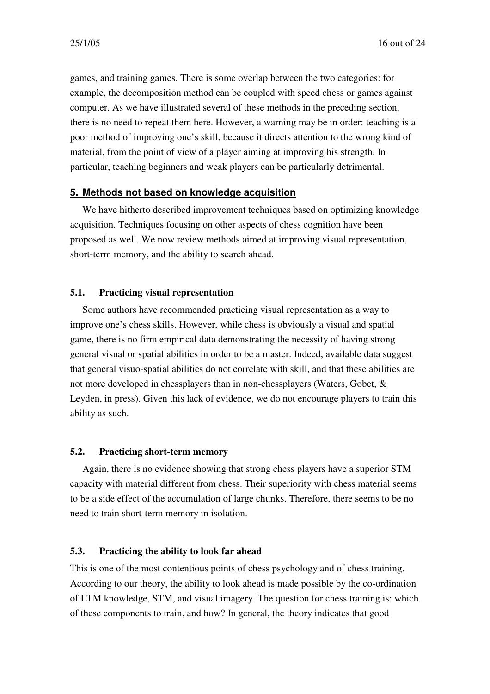games, and training games. There is some overlap between the two categories: for example, the decomposition method can be coupled with speed chess or games against computer. As we have illustrated several of these methods in the preceding section, there is no need to repeat them here. However, a warning may be in order: teaching is a poor method of improving one's skill, because it directs attention to the wrong kind of material, from the point of view of a player aiming at improving his strength. In particular, teaching beginners and weak players can be particularly detrimental.

#### **5. Methods not based on knowledge acquisition**

We have hitherto described improvement techniques based on optimizing knowledge acquisition. Techniques focusing on other aspects of chess cognition have been proposed as well. We now review methods aimed at improving visual representation, short-term memory, and the ability to search ahead.

#### **5.1. Practicing visual representation**

Some authors have recommended practicing visual representation as a way to improve one's chess skills. However, while chess is obviously a visual and spatial game, there is no firm empirical data demonstrating the necessity of having strong general visual or spatial abilities in order to be a master. Indeed, available data suggest that general visuo-spatial abilities do not correlate with skill, and that these abilities are not more developed in chessplayers than in non-chessplayers (Waters, Gobet, & Leyden, in press). Given this lack of evidence, we do not encourage players to train this ability as such.

#### **5.2. Practicing short-term memory**

Again, there is no evidence showing that strong chess players have a superior STM capacity with material different from chess. Their superiority with chess material seems to be a side effect of the accumulation of large chunks. Therefore, there seems to be no need to train short-term memory in isolation.

### **5.3. Practicing the ability to look far ahead**

This is one of the most contentious points of chess psychology and of chess training. According to our theory, the ability to look ahead is made possible by the co-ordination of LTM knowledge, STM, and visual imagery. The question for chess training is: which of these components to train, and how? In general, the theory indicates that good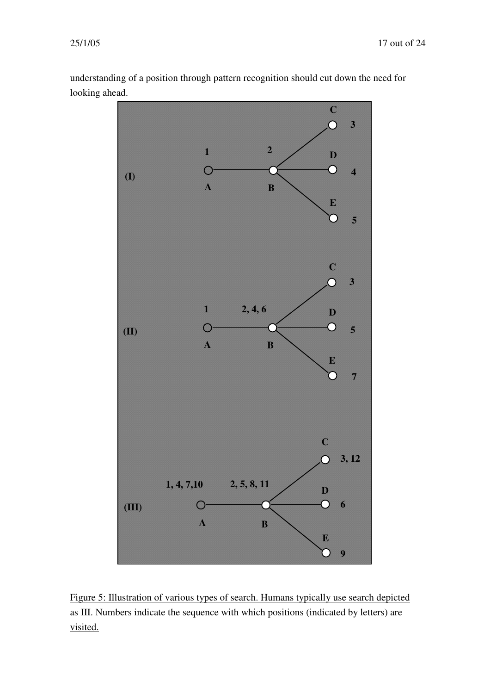understanding of a position through pattern recognition should cut down the need for looking ahead.



Figure 5: Illustration of various types of search. Humans typically use search depicted as III. Numbers indicate the sequence with which positions (indicated by letters) are visited.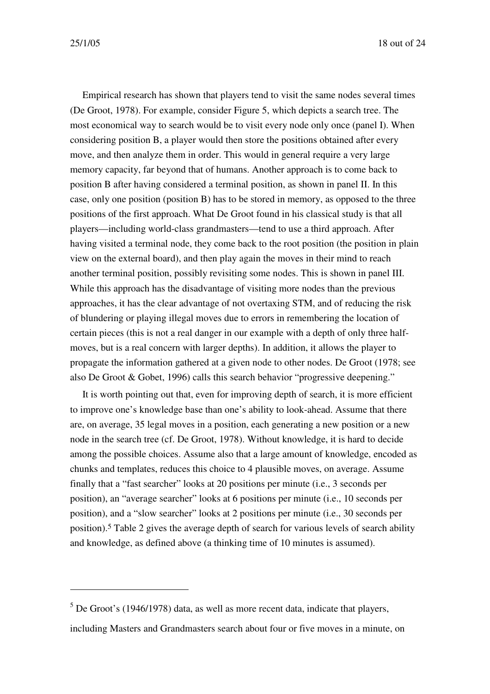25/1/05 18 out of 24

Empirical research has shown that players tend to visit the same nodes several times (De Groot, 1978). For example, consider Figure 5, which depicts a search tree. The most economical way to search would be to visit every node only once (panel I). When considering position B, a player would then store the positions obtained after every move, and then analyze them in order. This would in general require a very large memory capacity, far beyond that of humans. Another approach is to come back to position B after having considered a terminal position, as shown in panel II. In this case, only one position (position B) has to be stored in memory, as opposed to the three positions of the first approach. What De Groot found in his classical study is that all players—including world-class grandmasters—tend to use a third approach. After having visited a terminal node, they come back to the root position (the position in plain view on the external board), and then play again the moves in their mind to reach another terminal position, possibly revisiting some nodes. This is shown in panel III. While this approach has the disadvantage of visiting more nodes than the previous approaches, it has the clear advantage of not overtaxing STM, and of reducing the risk of blundering or playing illegal moves due to errors in remembering the location of certain pieces (this is not a real danger in our example with a depth of only three halfmoves, but is a real concern with larger depths). In addition, it allows the player to propagate the information gathered at a given node to other nodes. De Groot (1978; see also De Groot & Gobet, 1996) calls this search behavior "progressive deepening."

It is worth pointing out that, even for improving depth of search, it is more efficient to improve one's knowledge base than one's ability to look-ahead. Assume that there are, on average, 35 legal moves in a position, each generating a new position or a new node in the search tree (cf. De Groot, 1978). Without knowledge, it is hard to decide among the possible choices. Assume also that a large amount of knowledge, encoded as chunks and templates, reduces this choice to 4 plausible moves, on average. Assume finally that a "fast searcher" looks at 20 positions per minute (i.e., 3 seconds per position), an "average searcher" looks at 6 positions per minute (i.e., 10 seconds per position), and a "slow searcher" looks at 2 positions per minute (i.e., 30 seconds per position). 5 Table 2 gives the average depth of search for various levels of search ability and knowledge, as defined above (a thinking time of 10 minutes is assumed).

 $<sup>5</sup>$  De Groot's (1946/1978) data, as well as more recent data, indicate that players,</sup> including Masters and Grandmasters search about four or five moves in a minute, on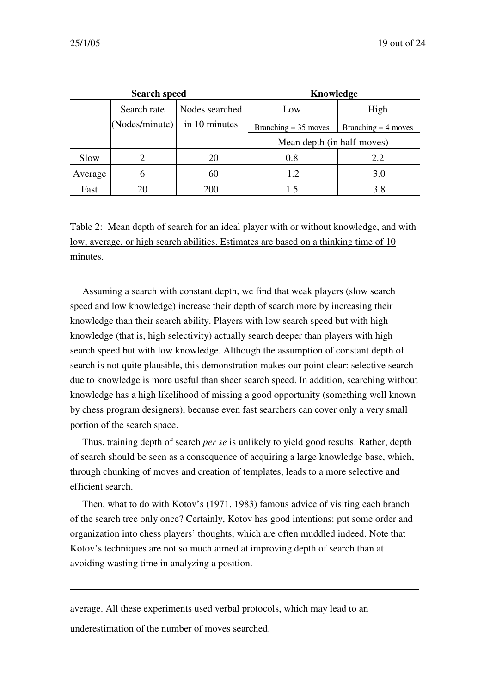| <b>Search speed</b> |                |                | Knowledge                  |                       |
|---------------------|----------------|----------------|----------------------------|-----------------------|
|                     | Search rate    | Nodes searched | Low                        | High                  |
|                     | (Nodes/minute) | in 10 minutes  | Branching $= 35$ moves     | Branching $=$ 4 moves |
|                     |                |                | Mean depth (in half-moves) |                       |
| Slow                |                | 20             | 0.8                        | 2.2                   |
| Average             | h              | 60             | 1.2                        | 3.0                   |
| Fast                | 20             | 200            | 1.5                        | 3.8                   |

Table 2: Mean depth of search for an ideal player with or without knowledge, and with low, average, or high search abilities. Estimates are based on a thinking time of 10 minutes.

Assuming a search with constant depth, we find that weak players (slow search speed and low knowledge) increase their depth of search more by increasing their knowledge than their search ability. Players with low search speed but with high knowledge (that is, high selectivity) actually search deeper than players with high search speed but with low knowledge. Although the assumption of constant depth of search is not quite plausible, this demonstration makes our point clear: selective search due to knowledge is more useful than sheer search speed. In addition, searching without knowledge has a high likelihood of missing a good opportunity (something well known by chess program designers), because even fast searchers can cover only a very small portion of the search space.

Thus, training depth of search *per se* is unlikely to yield good results. Rather, depth of search should be seen as a consequence of acquiring a large knowledge base, which, through chunking of moves and creation of templates, leads to a more selective and efficient search.

Then, what to do with Kotov's (1971, 1983) famous advice of visiting each branch of the search tree only once? Certainly, Kotov has good intentions: put some order and organization into chess players' thoughts, which are often muddled indeed. Note that Kotov's techniques are not so much aimed at improving depth of search than at avoiding wasting time in analyzing a position.

average. All these experiments used verbal protocols, which may lead to an underestimation of the number of moves searched.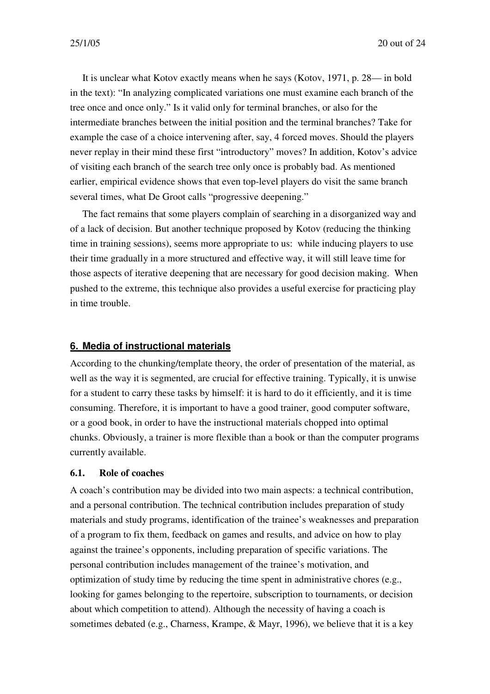It is unclear what Kotov exactly means when he says (Kotov, 1971, p. 28— in bold in the text): "In analyzing complicated variations one must examine each branch of the tree once and once only." Is it valid only for terminal branches, or also for the intermediate branches between the initial position and the terminal branches? Take for example the case of a choice intervening after, say, 4 forced moves. Should the players never replay in their mind these first "introductory" moves? In addition, Kotov's advice of visiting each branch of the search tree only once is probably bad. As mentioned earlier, empirical evidence shows that even top-level players do visit the same branch several times, what De Groot calls "progressive deepening."

The fact remains that some players complain of searching in a disorganized way and of a lack of decision. But another technique proposed by Kotov (reducing the thinking time in training sessions), seems more appropriate to us: while inducing players to use their time gradually in a more structured and effective way, it will still leave time for those aspects of iterative deepening that are necessary for good decision making. When pushed to the extreme, this technique also provides a useful exercise for practicing play in time trouble.

#### **6. Media of instructional materials**

According to the chunking/template theory, the order of presentation of the material, as well as the way it is segmented, are crucial for effective training. Typically, it is unwise for a student to carry these tasks by himself: it is hard to do it efficiently, and it is time consuming. Therefore, it is important to have a good trainer, good computer software, or a good book, in order to have the instructional materials chopped into optimal chunks. Obviously, a trainer is more flexible than a book or than the computer programs currently available.

#### **6.1. Role of coaches**

A coach's contribution may be divided into two main aspects: a technical contribution, and a personal contribution. The technical contribution includes preparation of study materials and study programs, identification of the trainee's weaknesses and preparation of a program to fix them, feedback on games and results, and advice on how to play against the trainee's opponents, including preparation of specific variations. The personal contribution includes management of the trainee's motivation, and optimization of study time by reducing the time spent in administrative chores (e.g., looking for games belonging to the repertoire, subscription to tournaments, or decision about which competition to attend). Although the necessity of having a coach is sometimes debated (e.g., Charness, Krampe, & Mayr, 1996), we believe that it is a key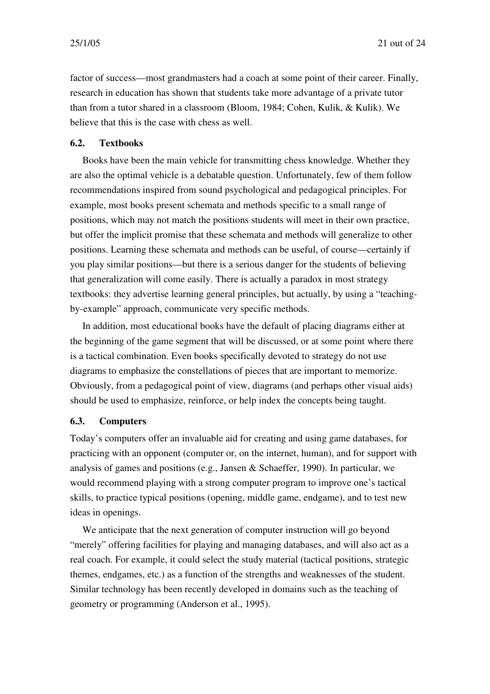factor of success—most grandmasters had a coach at some point of their career. Finally, research in education has shown that students take more advantage of a private tutor than from a tutor shared in a classroom (Bloom, 1984; Cohen, Kulik, & Kulik). We believe that this is the case with chess as well.

# **6.2. Textbooks**

Books have been the main vehicle for transmitting chess knowledge. Whether they are also the optimal vehicle is a debatable question. Unfortunately, few of them follow recommendations inspired from sound psychological and pedagogical principles. For example, most books present schemata and methods specific to a small range of positions, which may not match the positions students will meet in their own practice, but offer the implicit promise that these schemata and methods will generalize to other positions. Learning these schemata and methods can be useful, of course—certainly if you play similar positions—but there is a serious danger for the students of believing that generalization will come easily. There is actually a paradox in most strategy textbooks: they advertise learning general principles, but actually, by using a "teachingby-example" approach, communicate very specific methods.

In addition, most educational books have the default of placing diagrams either at the beginning of the game segment that will be discussed, or at some point where there is a tactical combination. Even books specifically devoted to strategy do not use diagrams to emphasize the constellations of pieces that are important to memorize. Obviously, from a pedagogical point of view, diagrams (and perhaps other visual aids) should be used to emphasize, reinforce, or help index the concepts being taught.

#### **6.3. Computers**

Today's computers offer an invaluable aid for creating and using game databases, for practicing with an opponent (computer or, on the internet, human), and for support with analysis of games and positions (e.g., Jansen & Schaeffer, 1990). In particular, we would recommend playing with a strong computer program to improve one's tactical skills, to practice typical positions (opening, middle game, endgame), and to test new ideas in openings.

We anticipate that the next generation of computer instruction will go beyond "merely" offering facilities for playing and managing databases, and will also act as a real coach. For example, it could select the study material (tactical positions, strategic themes, endgames, etc.) as a function of the strengths and weaknesses of the student. Similar technology has been recently developed in domains such as the teaching of geometry or programming (Anderson et al., 1995).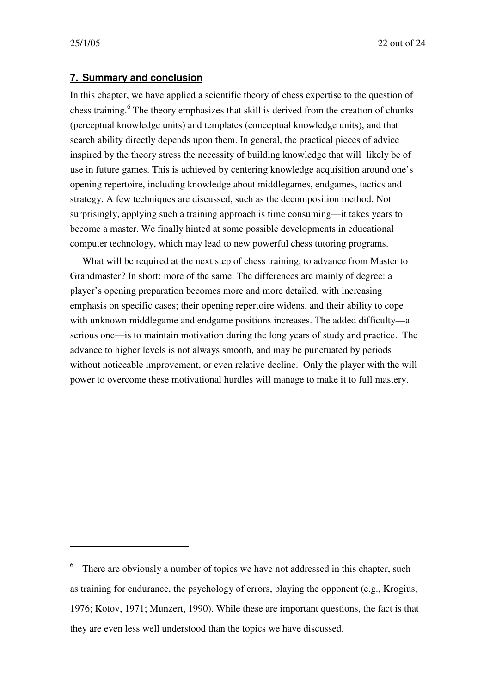#### **7. Summary and conclusion**

In this chapter, we have applied a scientific theory of chess expertise to the question of chess training. 6 The theory emphasizes that skill is derived from the creation of chunks (perceptual knowledge units) and templates (conceptual knowledge units), and that search ability directly depends upon them. In general, the practical pieces of advice inspired by the theory stress the necessity of building knowledge that will likely be of use in future games. This is achieved by centering knowledge acquisition around one's opening repertoire, including knowledge about middlegames, endgames, tactics and strategy. A few techniques are discussed, such as the decomposition method. Not surprisingly, applying such a training approach is time consuming—it takes years to become a master. We finally hinted at some possible developments in educational computer technology, which may lead to new powerful chess tutoring programs.

What will be required at the next step of chess training, to advance from Master to Grandmaster? In short: more of the same. The differences are mainly of degree: a player's opening preparation becomes more and more detailed, with increasing emphasis on specific cases; their opening repertoire widens, and their ability to cope with unknown middlegame and endgame positions increases. The added difficulty—a serious one—is to maintain motivation during the long years of study and practice. The advance to higher levels is not always smooth, and may be punctuated by periods without noticeable improvement, or even relative decline. Only the player with the will power to overcome these motivational hurdles will manage to make it to full mastery.

<sup>6</sup> There are obviously a number of topics we have not addressed in this chapter, such as training for endurance, the psychology of errors, playing the opponent (e.g., Krogius, 1976; Kotov, 1971; Munzert, 1990). While these are important questions, the fact is that they are even less well understood than the topics we have discussed.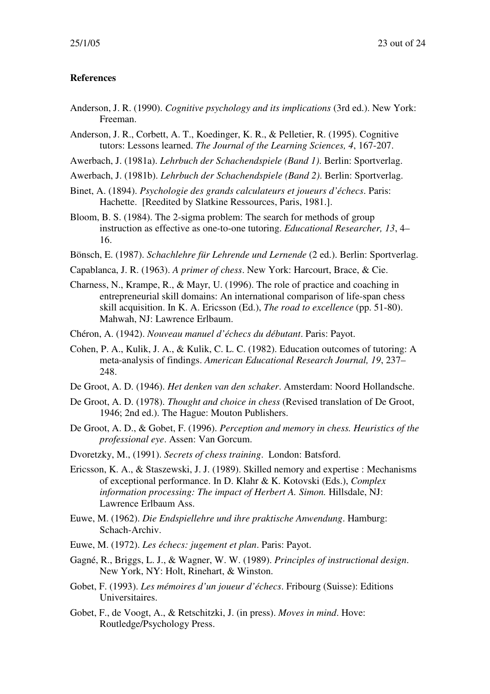#### **References**

- Anderson, J. R. (1990). *Cognitive psychology and its implications* (3rd ed.). New York: Freeman.
- Anderson, J. R., Corbett, A. T., Koedinger, K. R., & Pelletier, R. (1995). Cognitive tutors: Lessons learned. *The Journal of the Learning Sciences, 4*, 167-207.
- Awerbach, J. (1981a). *Lehrbuch der Schachendspiele (Band 1)*. Berlin: Sportverlag.
- Awerbach, J. (1981b). *Lehrbuch der Schachendspiele (Band 2)*. Berlin: Sportverlag.
- Binet, A. (1894). *Psychologie des grands calculateurs et joueurs d'échecs*. Paris: Hachette. [Reedited by Slatkine Ressources, Paris, 1981.].
- Bloom, B. S. (1984). The 2-sigma problem: The search for methods of group instruction as effective as one-to-one tutoring. *Educational Researcher, 13*, 4– 16.
- Bönsch, E. (1987). *Schachlehre für Lehrende und Lernende* (2 ed.). Berlin: Sportverlag.
- Capablanca, J. R. (1963). *A primer of chess*. New York: Harcourt, Brace, & Cie.
- Charness, N., Krampe, R., & Mayr, U. (1996). The role of practice and coaching in entrepreneurial skill domains: An international comparison of life-span chess skill acquisition. In K. A. Ericsson (Ed.), *The road to excellence* (pp. 51-80). Mahwah, NJ: Lawrence Erlbaum.
- Chéron, A. (1942). *Nouveau manuel d'échecs du débutant*. Paris: Payot.
- Cohen, P. A., Kulik, J. A., & Kulik, C. L. C. (1982). Education outcomes of tutoring: A meta-analysis of findings. *American Educational Research Journal, 19*, 237– 248.
- De Groot, A. D. (1946). *Het denken van den schaker*. Amsterdam: Noord Hollandsche.
- De Groot, A. D. (1978). *Thought and choice in chess* (Revised translation of De Groot, 1946; 2nd ed.). The Hague: Mouton Publishers.
- De Groot, A. D., & Gobet, F. (1996). *Perception and memory in chess. Heuristics of the professional eye*. Assen: Van Gorcum.
- Dvoretzky, M., (1991). *Secrets of chess training*. London: Batsford.
- Ericsson, K. A., & Staszewski, J. J. (1989). Skilled nemory and expertise : Mechanisms of exceptional performance. In D. Klahr & K. Kotovski (Eds.), *Complex information processing: The impact of Herbert A. Simon.* Hillsdale, NJ: Lawrence Erlbaum Ass.
- Euwe, M. (1962). *Die Endspiellehre und ihre praktische Anwendung*. Hamburg: Schach-Archiv.
- Euwe, M. (1972). *Les échecs: jugement et plan*. Paris: Payot.
- Gagné, R., Briggs, L. J., & Wagner, W. W. (1989). *Principles of instructional design*. New York, NY: Holt, Rinehart, & Winston.
- Gobet, F. (1993). *Les mémoires d'un joueur d'échecs*. Fribourg (Suisse): Editions Universitaires.
- Gobet, F., de Voogt, A., & Retschitzki, J. (in press). *Moves in mind*. Hove: Routledge/Psychology Press.